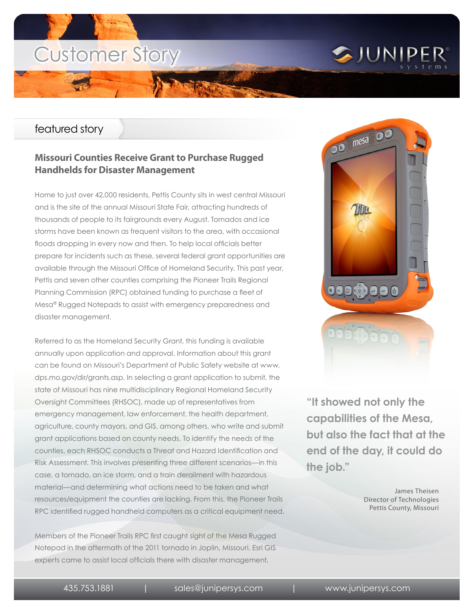# Customer Story

### featured story

### **Missouri Counties Receive Grant to Purchase Rugged Handhelds for Disaster Management**

Home to just over 42,000 residents, Pettis County sits in west central Missouri and is the site of the annual Missouri State Fair, attracting hundreds of thousands of people to its fairgrounds every August. Tornados and ice storms have been known as frequent visitors to the area, with occasional floods dropping in every now and then. To help local officials better prepare for incidents such as these, several federal grant opportunities are available through the Missouri Office of Homeland Security. This past year, Pettis and seven other counties comprising the Pioneer Trails Regional Planning Commission (RPC) obtained funding to purchase a fleet of Mesa® Rugged Notepads to assist with emergency preparedness and disaster management.

Referred to as the Homeland Security Grant, this funding is available annually upon application and approval. Information about this grant can be found on Missouri's Department of Public Safety website at www. dps.mo.gov/dir/grants.asp. In selecting a grant application to submit, the state of Missouri has nine multidisciplinary Regional Homeland Security Oversight Committees (RHSOC), made up of representatives from emergency management, law enforcement, the health department, agriculture, county mayors, and GIS, among others, who write and submit grant applications based on county needs. To identify the needs of the counties, each RHSOC conducts a Threat and Hazard Identification and Risk Assessment. This involves presenting three different scenarios—in this case, a tornado, an ice storm, and a train derailment with hazardous material—and determining what actions need to be taken and what resources/equipment the counties are lacking. From this, the Pioneer Trails RPC identified rugged handheld computers as a critical equipment need.

Members of the Pioneer Trails RPC first caught sight of the Mesa Rugged Notepad in the aftermath of the 2011 tornado in Joplin, Missouri. Esri GIS experts came to assist local officials there with disaster management,



SJUNIPER®

**"It showed not only the capabilities of the Mesa, but also the fact that at the end of the day, it could do the job."**

> James Theisen Director of Technologies Pettis County, Missouri